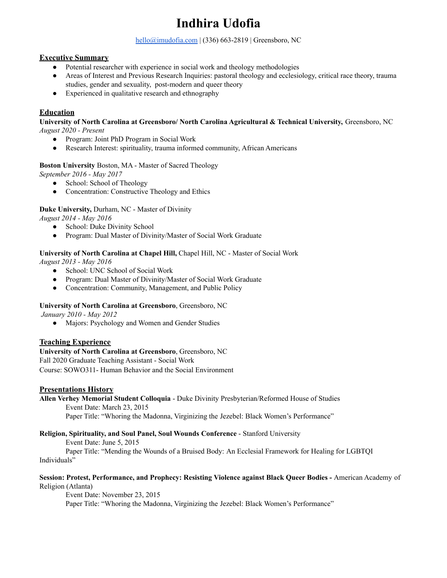# **Indhira Udofia**

[hello@imudofia.com](mailto:hello@imudofia.com) | (336) 663-2819 | Greensboro, NC

# **Executive Summary**

- Potential researcher with experience in social work and theology methodologies
- Areas of Interest and Previous Research Inquiries: pastoral theology and ecclesiology, critical race theory, trauma studies, gender and sexuality, post-modern and queer theory
- Experienced in qualitative research and ethnography

# **Education**

**University of North Carolina at Greensboro/ North Carolina Agricultural & Technical University,** Greensboro, NC *August 2020 - Present*

- Program: Joint PhD Program in Social Work
- Research Interest: spirituality, trauma informed community, African Americans

### **Boston University** Boston, MA - Master of Sacred Theology

*September 2016 - May 2017*

- School: School of Theology
- Concentration: Constructive Theology and Ethics

### **Duke University,** Durham, NC - Master of Divinity

*August 2014 - May 2016*

- School: Duke Divinity School
- Program: Dual Master of Divinity/Master of Social Work Graduate

### **University of North Carolina at Chapel Hill,** Chapel Hill, NC - Master of Social Work

*August 2013 - May 2016*

- School: UNC School of Social Work
- Program: Dual Master of Divinity/Master of Social Work Graduate
- Concentration: Community, Management, and Public Policy

### **University of North Carolina at Greensboro**, Greensboro, NC

*January 2010 - May 2012*

• Majors: Psychology and Women and Gender Studies

# **Teaching Experience**

# **University of North Carolina at Greensboro**, Greensboro, NC

Fall 2020 Graduate Teaching Assistant - Social Work

Course: SOWO311- Human Behavior and the Social Environment

### **Presentations History**

**Allen Verhey Memorial Student Colloquia** - Duke Divinity Presbyterian/Reformed House of Studies

Event Date: March 23, 2015

Paper Title: "Whoring the Madonna, Virginizing the Jezebel: Black Women's Performance"

### **Religion, Spirituality, and Soul Panel, Soul Wounds Conference** - Stanford University

Event Date: June 5, 2015

Paper Title: "Mending the Wounds of a Bruised Body: An Ecclesial Framework for Healing for LGBTQI Individuals"

### **Session: Protest, Performance, and Prophecy: Resisting Violence against Black Queer Bodies -** American Academy of Religion (Atlanta)

Event Date: November 23, 2015

Paper Title: "Whoring the Madonna, Virginizing the Jezebel: Black Women's Performance"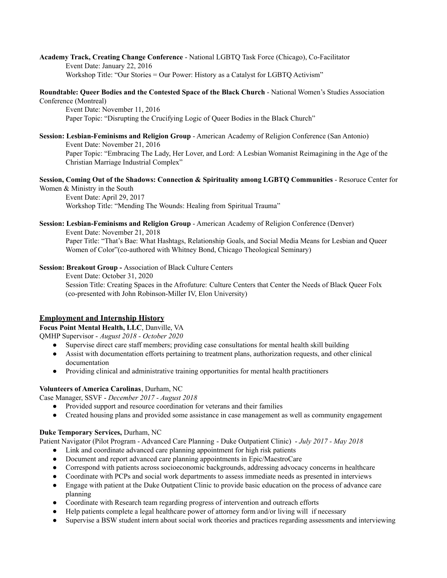**Academy Track, Creating Change Conference** - National LGBTQ Task Force (Chicago), Co-Facilitator Event Date: January 22, 2016 Workshop Title: "Our Stories = Our Power: History as a Catalyst for LGBTQ Activism"

### **Roundtable: Queer Bodies and the Contested Space of the Black Church** - National Women's Studies Association Conference (Montreal)

Event Date: November 11, 2016 Paper Topic: "Disrupting the Crucifying Logic of Queer Bodies in the Black Church"

### **Session: Lesbian-Feminisms and Religion Group** - American Academy of Religion Conference (San Antonio) Event Date: November 21, 2016 Paper Topic: "Embracing The Lady, Her Lover, and Lord: A Lesbian Womanist Reimagining in the Age of the Christian Marriage Industrial Complex"

## **Session, Coming Out of the Shadows: Connection & Spirituality among LGBTQ Communities** - Resoruce Center for Women & Ministry in the South

Event Date: April 29, 2017 Workshop Title: "Mending The Wounds: Healing from Spiritual Trauma"

#### **Session: Lesbian-Feminisms and Religion Group** - American Academy of Religion Conference (Denver) Event Date: November 21, 2018 Paper Title: "That's Bae: What Hashtags, Relationship Goals, and Social Media Means for Lesbian and Queer Women of Color"(co-authored with Whitney Bond, Chicago Theological Seminary)

**Session: Breakout Group -** Association of Black Culture Centers

Event Date: October 31, 2020 Session Title: Creating Spaces in the Afrofuture: Culture Centers that Center the Needs of Black Queer Folx (co-presented with John Robinson-Miller IV, Elon University)

# **Employment and Internship History**

# **Focus Point Mental Health, LLC**, Danville, VA

QMHP Supervisor - *August 2018 - October 2020*

- Supervise direct care staff members; providing case consultations for mental health skill building
- Assist with documentation efforts pertaining to treatment plans, authorization requests, and other clinical documentation
- Providing clinical and administrative training opportunities for mental health practitioners

# **Volunteers of America Carolinas**, Durham, NC

Case Manager, SSVF - *December 2017 - August 2018*

- Provided support and resource coordination for veterans and their families
- Created housing plans and provided some assistance in case management as well as community engagement

# **Duke Temporary Services,** Durham, NC

Patient Navigator (Pilot Program - Advanced Care Planning - Duke Outpatient Clinic) - *July 2017 - May 2018*

- Link and coordinate advanced care planning appointment for high risk patients
- Document and report advanced care planning appointments in Epic/MaestroCare
- Correspond with patients across socioeconomic backgrounds, addressing advocacy concerns in healthcare
- Coordinate with PCPs and social work departments to assess immediate needs as presented in interviews
- Engage with patient at the Duke Outpatient Clinic to provide basic education on the process of advance care planning
- Coordinate with Research team regarding progress of intervention and outreach efforts
- Help patients complete a legal healthcare power of attorney form and/or living will if necessary
- Supervise a BSW student intern about social work theories and practices regarding assessments and interviewing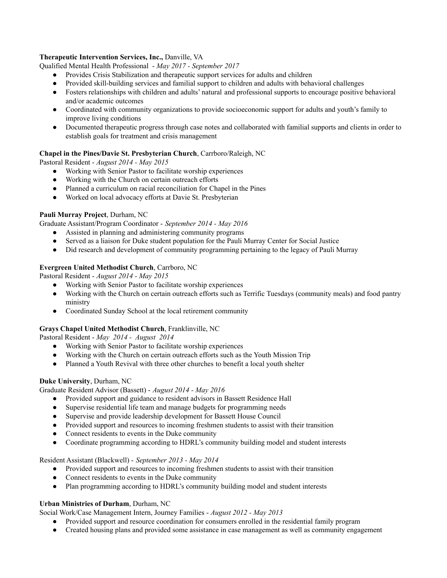### **Therapeutic Intervention Services, Inc.,** Danville, VA

Qualified Mental Health Professional - *May 2017 - September 2017*

- Provides Crisis Stabilization and therapeutic support services for adults and children
- Provided skill-building services and familial support to children and adults with behavioral challenges
- Fosters relationships with children and adults' natural and professional supports to encourage positive behavioral and/or academic outcomes
- Coordinated with community organizations to provide socioeconomic support for adults and youth's family to improve living conditions
- Documented therapeutic progress through case notes and collaborated with familial supports and clients in order to establish goals for treatment and crisis management

### **Chapel in the Pines/Davie St. Presbyterian Church**, Carrboro/Raleigh, NC

Pastoral Resident - *August 2014 - May 2015*

- Working with Senior Pastor to facilitate worship experiences
- Working with the Church on certain outreach efforts
- Planned a curriculum on racial reconciliation for Chapel in the Pines
- Worked on local advocacy efforts at Davie St. Presbyterian

### **Pauli Murray Project**, Durham, NC

Graduate Assistant/Program Coordinator - *September 2014 - May 2016*

- Assisted in planning and administering community programs
- Served as a liaison for Duke student population for the Pauli Murray Center for Social Justice
- Did research and development of community programming pertaining to the legacy of Pauli Murray

### **Evergreen United Methodist Church**, Carrboro, NC

Pastoral Resident - *August 2014 - May 2015*

- Working with Senior Pastor to facilitate worship experiences
- Working with the Church on certain outreach efforts such as Terrific Tuesdays (community meals) and food pantry ministry
- Coordinated Sunday School at the local retirement community

### **Grays Chapel United Methodist Church**, Franklinville, NC

Pastoral Resident - *May 2014 - August 2014*

- Working with Senior Pastor to facilitate worship experiences
- Working with the Church on certain outreach efforts such as the Youth Mission Trip
- Planned a Youth Revival with three other churches to benefit a local youth shelter

# **Duke University**, Durham, NC

Graduate Resident Advisor (Bassett) - *August 2014 - May 2016*

- Provided support and guidance to resident advisors in Bassett Residence Hall
- Supervise residential life team and manage budgets for programming needs
- Supervise and provide leadership development for Bassett House Council
- Provided support and resources to incoming freshmen students to assist with their transition
- Connect residents to events in the Duke community
- Coordinate programming according to HDRL's community building model and student interests

### Resident Assistant (Blackwell) - *September 2013 - May 2014*

- Provided support and resources to incoming freshmen students to assist with their transition
- Connect residents to events in the Duke community
- Plan programming according to HDRL's community building model and student interests

# **Urban Ministries of Durham**, Durham, NC

Social Work/Case Management Intern, Journey Families - *August 2012 - May 2013*

- Provided support and resource coordination for consumers enrolled in the residential family program
- Created housing plans and provided some assistance in case management as well as community engagement